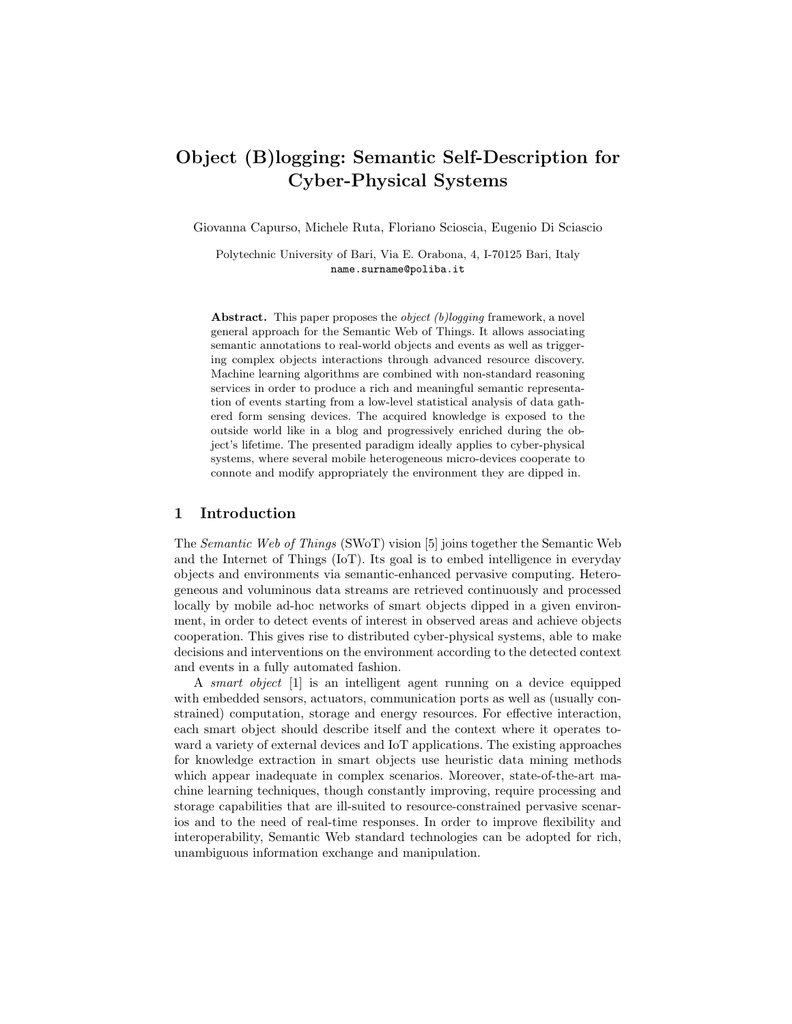# Object (B)logging: Semantic Self-Description for Cyber-Physical Systems

Giovanna Capurso, Michele Ruta, Floriano Scioscia, Eugenio Di Sciascio

Polytechnic University of Bari, Via E. Orabona, 4, I-70125 Bari, Italy name.surname@poliba.it

Abstract. This paper proposes the *object* (b)logging framework, a novel general approach for the Semantic Web of Things. It allows associating semantic annotations to real-world objects and events as well as triggering complex objects interactions through advanced resource discovery. Machine learning algorithms are combined with non-standard reasoning services in order to produce a rich and meaningful semantic representation of events starting from a low-level statistical analysis of data gathered form sensing devices. The acquired knowledge is exposed to the outside world like in a blog and progressively enriched during the object's lifetime. The presented paradigm ideally applies to cyber-physical systems, where several mobile heterogeneous micro-devices cooperate to connote and modify appropriately the environment they are dipped in.

### 1 Introduction

The Semantic Web of Things (SWoT) vision [5] joins together the Semantic Web and the Internet of Things (IoT). Its goal is to embed intelligence in everyday objects and environments via semantic-enhanced pervasive computing. Heterogeneous and voluminous data streams are retrieved continuously and processed locally by mobile ad-hoc networks of smart objects dipped in a given environment, in order to detect events of interest in observed areas and achieve objects cooperation. This gives rise to distributed cyber-physical systems, able to make decisions and interventions on the environment according to the detected context and events in a fully automated fashion.

A smart object [1] is an intelligent agent running on a device equipped with embedded sensors, actuators, communication ports as well as (usually constrained) computation, storage and energy resources. For effective interaction, each smart object should describe itself and the context where it operates toward a variety of external devices and IoT applications. The existing approaches for knowledge extraction in smart objects use heuristic data mining methods which appear inadequate in complex scenarios. Moreover, state-of-the-art machine learning techniques, though constantly improving, require processing and storage capabilities that are ill-suited to resource-constrained pervasive scenarios and to the need of real-time responses. In order to improve flexibility and interoperability, Semantic Web standard technologies can be adopted for rich, unambiguous information exchange and manipulation.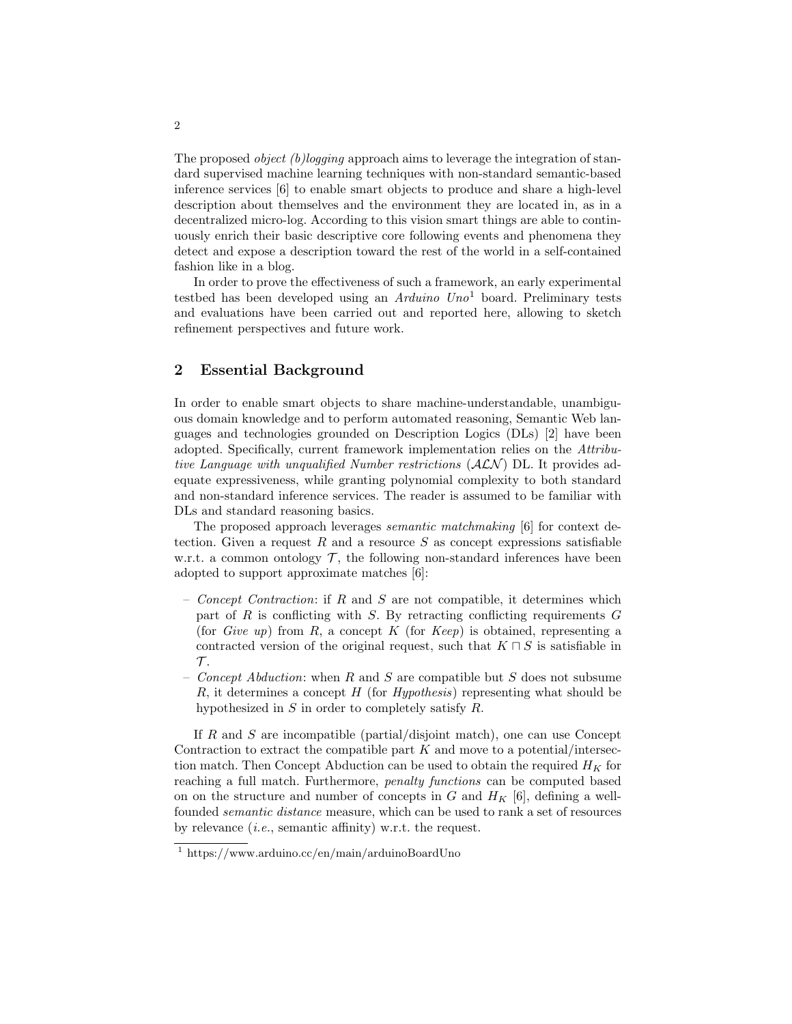The proposed *object (b)logging* approach aims to leverage the integration of standard supervised machine learning techniques with non-standard semantic-based inference services [6] to enable smart objects to produce and share a high-level description about themselves and the environment they are located in, as in a decentralized micro-log. According to this vision smart things are able to continuously enrich their basic descriptive core following events and phenomena they detect and expose a description toward the rest of the world in a self-contained fashion like in a blog.

In order to prove the effectiveness of such a framework, an early experimental testbed has been developed using an Arduino  $U_{n0}$ <sup>1</sup> board. Preliminary tests and evaluations have been carried out and reported here, allowing to sketch refinement perspectives and future work.

## 2 Essential Background

In order to enable smart objects to share machine-understandable, unambiguous domain knowledge and to perform automated reasoning, Semantic Web languages and technologies grounded on Description Logics (DLs) [2] have been adopted. Specifically, current framework implementation relies on the Attributive Language with unqualified Number restrictions  $(ALN)$  DL. It provides adequate expressiveness, while granting polynomial complexity to both standard and non-standard inference services. The reader is assumed to be familiar with DLs and standard reasoning basics.

The proposed approach leverages semantic matchmaking [6] for context detection. Given a request R and a resource S as concept expressions satisfiable w.r.t. a common ontology  $\mathcal{T}$ , the following non-standard inferences have been adopted to support approximate matches [6]:

- Concept Contraction: if R and S are not compatible, it determines which part of  $R$  is conflicting with  $S$ . By retracting conflicting requirements  $G$ (for Give up) from R, a concept K (for Keep) is obtained, representing a contracted version of the original request, such that  $K \cap S$  is satisfiable in  $\mathcal{T}$ .
- Concept Abduction: when R and S are compatible but S does not subsume R, it determines a concept  $H$  (for *Hypothesis*) representing what should be hypothesized in S in order to completely satisfy R.

If  $R$  and  $S$  are incompatible (partial/disjoint match), one can use Concept Contraction to extract the compatible part  $K$  and move to a potential/intersection match. Then Concept Abduction can be used to obtain the required  $H_K$  for reaching a full match. Furthermore, penalty functions can be computed based on on the structure and number of concepts in  $G$  and  $H_K$  [6], defining a wellfounded semantic distance measure, which can be used to rank a set of resources by relevance (i.e., semantic affinity) w.r.t. the request.

<sup>1</sup> https://www.arduino.cc/en/main/arduinoBoardUno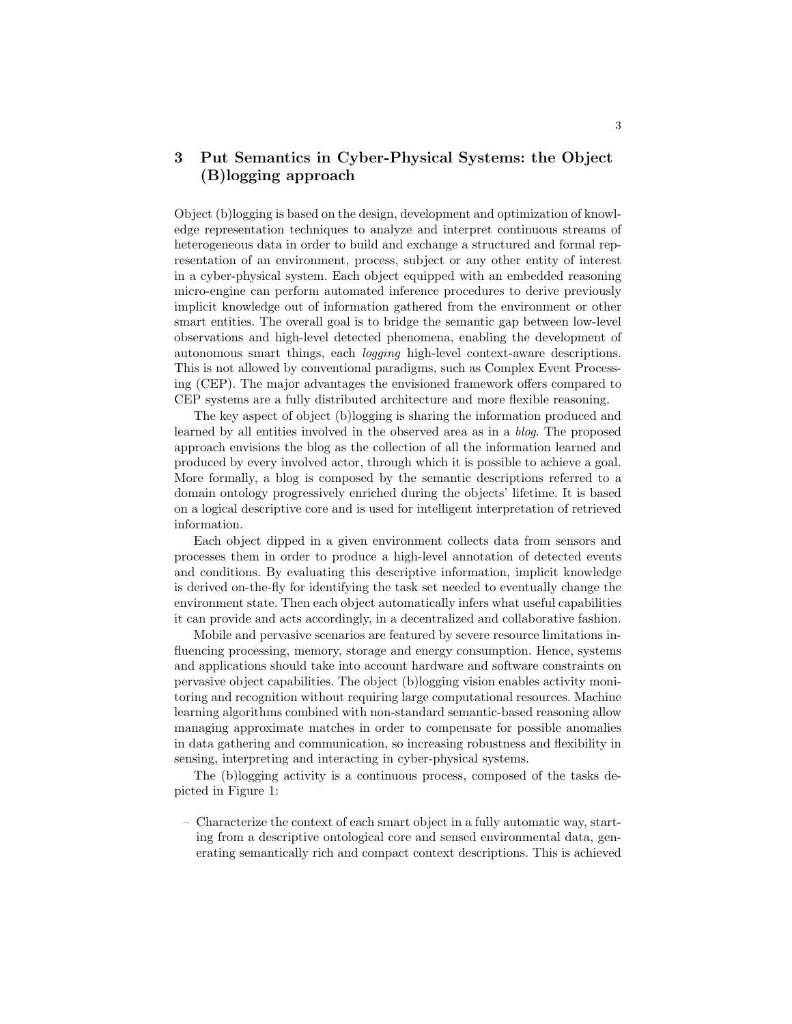# 3 Put Semantics in Cyber-Physical Systems: the Object (B)logging approach

Object (b)logging is based on the design, development and optimization of knowledge representation techniques to analyze and interpret continuous streams of heterogeneous data in order to build and exchange a structured and formal representation of an environment, process, subject or any other entity of interest in a cyber-physical system. Each object equipped with an embedded reasoning micro-engine can perform automated inference procedures to derive previously implicit knowledge out of information gathered from the environment or other smart entities. The overall goal is to bridge the semantic gap between low-level observations and high-level detected phenomena, enabling the development of autonomous smart things, each logging high-level context-aware descriptions. This is not allowed by conventional paradigms, such as Complex Event Processing (CEP). The major advantages the envisioned framework offers compared to CEP systems are a fully distributed architecture and more flexible reasoning.

The key aspect of object (b)logging is sharing the information produced and learned by all entities involved in the observed area as in a blog. The proposed approach envisions the blog as the collection of all the information learned and produced by every involved actor, through which it is possible to achieve a goal. More formally, a blog is composed by the semantic descriptions referred to a domain ontology progressively enriched during the objects' lifetime. It is based on a logical descriptive core and is used for intelligent interpretation of retrieved information.

Each object dipped in a given environment collects data from sensors and processes them in order to produce a high-level annotation of detected events and conditions. By evaluating this descriptive information, implicit knowledge is derived on-the-fly for identifying the task set needed to eventually change the environment state. Then each object automatically infers what useful capabilities it can provide and acts accordingly, in a decentralized and collaborative fashion.

Mobile and pervasive scenarios are featured by severe resource limitations influencing processing, memory, storage and energy consumption. Hence, systems and applications should take into account hardware and software constraints on pervasive object capabilities. The object (b)logging vision enables activity monitoring and recognition without requiring large computational resources. Machine learning algorithms combined with non-standard semantic-based reasoning allow managing approximate matches in order to compensate for possible anomalies in data gathering and communication, so increasing robustness and flexibility in sensing, interpreting and interacting in cyber-physical systems.

The (b)logging activity is a continuous process, composed of the tasks depicted in Figure 1:

– Characterize the context of each smart object in a fully automatic way, starting from a descriptive ontological core and sensed environmental data, generating semantically rich and compact context descriptions. This is achieved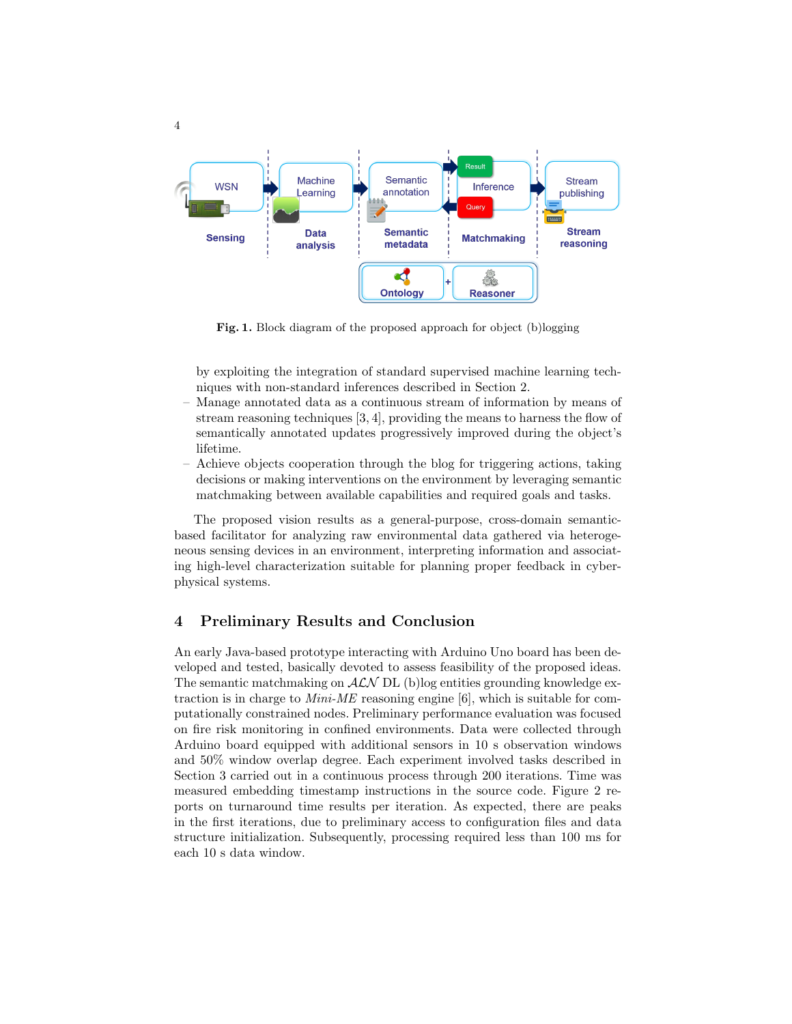

Fig. 1. Block diagram of the proposed approach for object (b)logging

by exploiting the integration of standard supervised machine learning techniques with non-standard inferences described in Section 2.

- Manage annotated data as a continuous stream of information by means of stream reasoning techniques [3, 4], providing the means to harness the flow of semantically annotated updates progressively improved during the object's lifetime.
- Achieve objects cooperation through the blog for triggering actions, taking decisions or making interventions on the environment by leveraging semantic matchmaking between available capabilities and required goals and tasks.

The proposed vision results as a general-purpose, cross-domain semanticbased facilitator for analyzing raw environmental data gathered via heterogeneous sensing devices in an environment, interpreting information and associating high-level characterization suitable for planning proper feedback in cyberphysical systems.

### 4 Preliminary Results and Conclusion

An early Java-based prototype interacting with Arduino Uno board has been developed and tested, basically devoted to assess feasibility of the proposed ideas. The semantic matchmaking on  $ALN$  DL (b)log entities grounding knowledge extraction is in charge to  $Mini-ME$  reasoning engine [6], which is suitable for computationally constrained nodes. Preliminary performance evaluation was focused on fire risk monitoring in confined environments. Data were collected through Arduino board equipped with additional sensors in 10 s observation windows and 50% window overlap degree. Each experiment involved tasks described in Section 3 carried out in a continuous process through 200 iterations. Time was measured embedding timestamp instructions in the source code. Figure 2 reports on turnaround time results per iteration. As expected, there are peaks in the first iterations, due to preliminary access to configuration files and data structure initialization. Subsequently, processing required less than 100 ms for each 10 s data window.